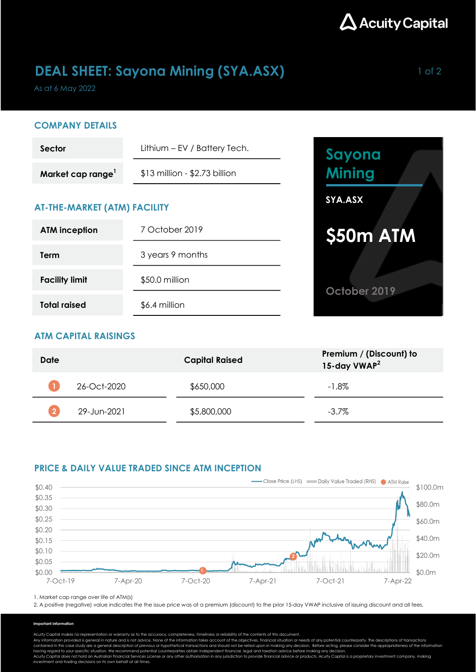

## DEAL SHEET: Sayona Mining (SYA.ASX) Management of 2

As at 6 May 2022

### COMPANY DETAILS

| Sector           | Lithium – EV / Battery Tech.    |  |  |
|------------------|---------------------------------|--|--|
| Market cap range | $$13$ million - $$2.73$ billion |  |  |

## AT-THE-MARKET (ATM) FACILITY

| <b>ATM</b> inception  | 7 October 2019   |  |  |
|-----------------------|------------------|--|--|
| Term                  | 3 years 9 months |  |  |
| <b>Facility limit</b> | \$50.0 million   |  |  |
| <b>Total raised</b>   | \$6.4 million    |  |  |



## ATM CAPITAL RAISINGS

| Date |             | <b>Capital Raised</b> | Premium / (Discount) to<br>15-day VWAP <sup>2</sup> |
|------|-------------|-----------------------|-----------------------------------------------------|
|      | 26-Oct-2020 | \$650,000             | $-1.8\%$                                            |
|      | 29-Jun-2021 | \$5,800,000           | $-3.7\%$                                            |

### PRICE & DAILY VALUE TRADED SINCE ATM INCEPTION



1. Market cap range over life of ATM(s)

2. A positive (negative) value indicates the the issue price was at a premium (discount) to the prior 15-day VWAP inclusive of issuing discount and all fees.

### Important information

Acuity Capital makes no representation or warranty as to the accuracy, completeness, timeliness or reliability of the contents of this document.

Any information provided is general in nature and is not advice. None of the information takes account of the objectives, financial situation or needs of any potential counterparty. The descriptions of transactions<br>contain

having regard to your specific situation. We recommend potential counterparties obtain independent financial, legal and taxation advice before making any decision.<br>Acuity Capital does not hold an Australian Financial Servi investment and trading decisions on its own behalf at all times.